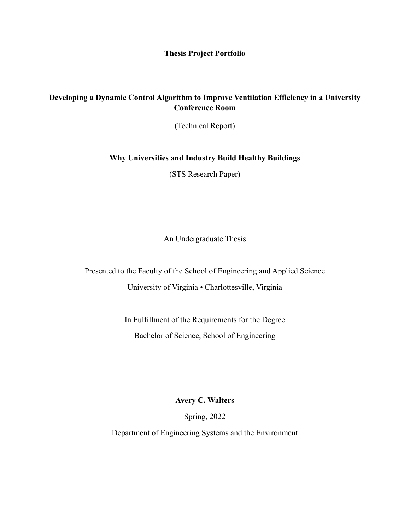**Thesis Project Portfolio**

## **Developing a Dynamic Control Algorithm to Improve Ventilation Efficiency in a University Conference Room**

(Technical Report)

## **Why Universities and Industry Build Healthy Buildings**

(STS Research Paper)

An Undergraduate Thesis

Presented to the Faculty of the School of Engineering and Applied Science University of Virginia • Charlottesville, Virginia

> In Fulfillment of the Requirements for the Degree Bachelor of Science, School of Engineering

> > **Avery C. Walters**

Spring, 2022

Department of Engineering Systems and the Environment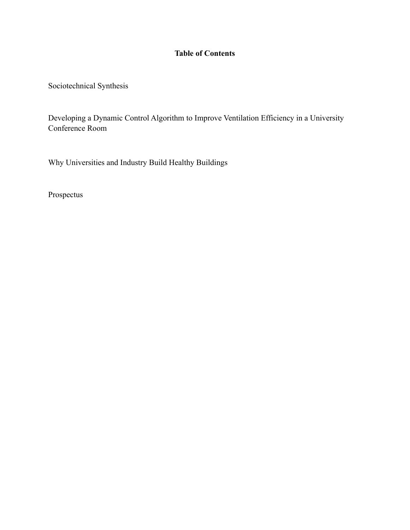## **Table of Contents**

Sociotechnical Synthesis

Developing a Dynamic Control Algorithm to Improve Ventilation Efficiency in a University Conference Room

Why Universities and Industry Build Healthy Buildings

Prospectus